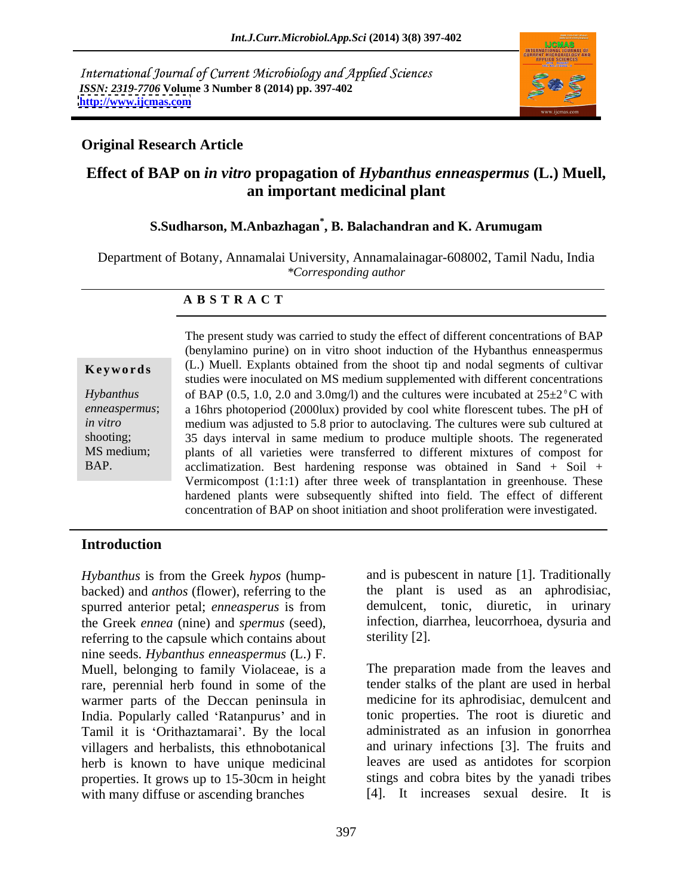International Journal of Current Microbiology and Applied Sciences *ISSN: 2319-7706* **Volume 3 Number 8 (2014) pp. 397-402 <http://www.ijcmas.com>**



### **Original Research Article**

## **Effect of BAP on** *in vitro* **propagation of** *Hybanthus enneaspermus* **(L.) Muell, an important medicinal plant**

### **S.Sudharson, M.Anbazhagan\* , B. Balachandran and K. Arumugam**

Department of Botany, Annamalai University, Annamalainagar-608002, Tamil Nadu, India *\*Corresponding author*

### **A B S T R A C T**

**Keywords** (L.) Muell. Explants obtained from the shoot tip and nodal segments of cultivar *Hybanthus* of BAP (0.5, 1.0, 2.0 and 3.0mg/l) and the cultures were incubated at  $25\pm2$ <sup>o</sup>C with *enneaspermus*; a 16hrs photoperiod (2000lux) provided by cool white florescent tubes. The pH of *in vitro* medium was adjusted to 5.8 prior to autoclaving. The cultures were sub cultured at shooting; 35 days interval in same medium to produce multiple shoots. The regenerated MS medium; plants of all varieties were transferred to different mixtures of compost for BAP. acclimatization. Best hardening response was obtained in Sand + Soil + The present study was carried to study the effect of different concentrations of BAP (benylamino purine) on in vitro shoot induction of the Hybanthus enneaspermus studies were inoculated on MS medium supplemented with different concentrations Vermicompost (1:1:1) after three week of transplantation in greenhouse. These hardened plants were subsequently shifted into field. The effect of different concentration of BAP on shoot initiation and shoot proliferation were investigated.

### **Introduction**

*Hybanthus* is from the Greek *hypos* (hump backed) and *anthos* (flower), referring to the spurred anterior petal; *enneasperus* is from the Greek *ennea* (nine) and *spermus* (seed), infection, diarrhea, leucorrhoea, dysuria and referring to the capsule which contains about sterility [2]. nine seeds. *Hybanthus enneaspermus* (L.) F. Muell, belonging to family Violaceae, is a The preparation made from the leaves and rare, perennial herb found in some of the warmer parts of the Deccan peninsula in India. Popularly called 'Ratanpurus' and in Tamil it is 'Orithaztamarai'. By the local villagers and herbalists, this ethnobotanical herb is known to have unique medicinal with many diffuse or ascending branches

and is pubescent in nature [1]. Traditionally the plant is used as an aphrodisiac, demulcent, tonic, diuretic, in urinary

properties. It grows up to 15-30cm in height stings and cobra bites by the yanadi tribes sterility [2].<br>The preparation made from the leaves and tender stalks of the plant are used in herbal medicine for its aphrodisiac, demulcent and tonic properties. The root is diuretic and administrated as an infusion in gonorrhea and urinary infections [3]. The fruits and leaves are used as antidotes for scorpion [4]. It increases sexual desire. It is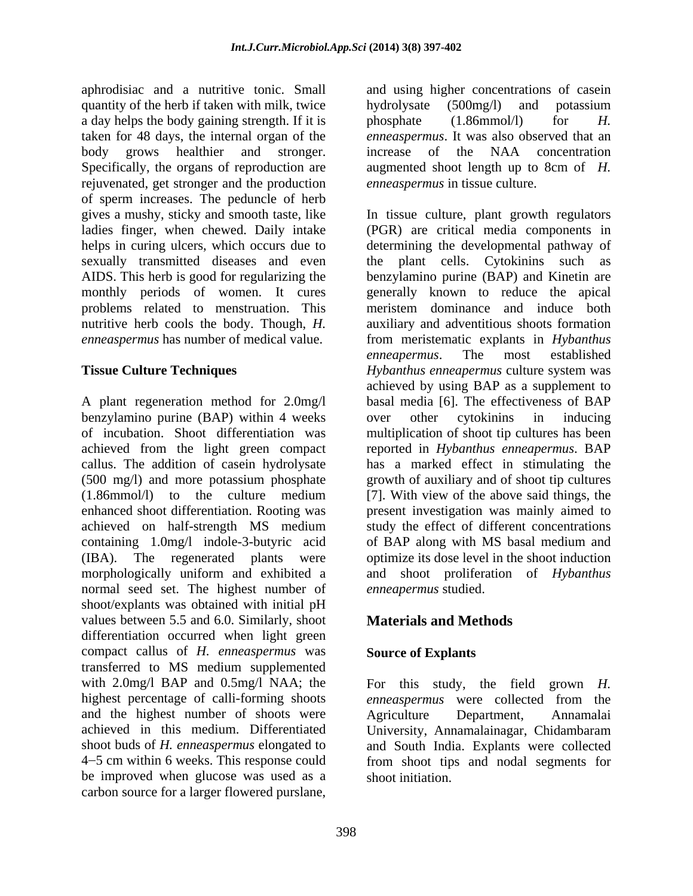aphrodisiac and a nutritive tonic. Small and using higher concentrations of casein quantity of the herb if taken with milk, twice hydrolysate (500mg/l) and potassium a day helps the body gaining strength. If it is phosphate  $(1.86 \text{mmol/l})$  for H. taken for 48 days, the internal organ of the *enneaspermus*. It was also observed that an body grows healthier and stronger. increase of the NAA concentration Specifically, the organs of reproduction are augmented shoot length up to 8cm of *H.* rejuvenated, get stronger and the production of sperm increases. The peduncle of herb monthly periods of women. It cures problems related to menstruation. This

benzylamino purine (BAP) within 4 weeks callus. The addition of casein hydrolysate (IBA). The regenerated plants were<br>morphologically uniform and exhibited a normal seed set. The highest number of shoot/explants was obtained with initial pH values between 5.5 and 6.0. Similarly, shoot **Materials and Methods** differentiation occurred when light green compact callus of *H. enneaspermus* was transferred to MS medium supplemented with 2.0mg/l BAP and 0.5mg/l NAA; the For this study, the field grown *H*. highest percentage of calli-forming shoots *enneaspermus* were collected from the and the highest number of shoots were Agriculture Department, Annamalai achieved in this medium. Differentiated University Annamalainagar Chidambaram shoot buds of *H. enneaspermus* elongated to and South India. Explants were collected 4 5 cm within 6 weeks. This response could from shoot tips and nodal segments for be improved when glucose was used as a carbon source for a larger flowered purslane,

hydrolysate (500mg/l) and potassium phosphate (1.86mmol/l) for *H.* increase of the NAA concentration *enneaspermus* in tissue culture.

gives a mushy, sticky and smooth taste, like In tissue culture, plant growth regulators ladies finger, when chewed. Daily intake (PGR) are critical media components in helps in curing ulcers, which occurs due to determining the developmental pathway of sexually transmitted diseases and even the plant cells. Cytokinins such as AIDS. This herb is good for regularizing the benzylamino purine (BAP) and Kinetin are nutritive herb cools the body. Though, *H.* auxiliary and adventitious shoots formation *enneaspermus* has number of medical value. from meristematic explants in *Hybanthus*  **Tissue Culture Techniques** *Hybanthus enneapermus* culture system was A plant regeneration method for 2.0mg/l basal media [6]. The effectiveness of BAP of incubation. Shoot differentiation was multiplication of shoot tip cultures has been achieved from the light green compact reported in *Hybanthus enneapermus*. BAP (500 mg/l) and more potassium phosphate growth of auxiliary and of shoot tip cultures (1.86mmol/l) to the culture medium [7]. With view of the above said things, the enhanced shoot differentiation. Rooting was present investigation was mainly aimed to achieved on half-strength MS medium study the effect of different concentrations containing 1.0mg/l indole-3-butyric acid of BAP along with MS basal medium and morphologically uniform and exhibited a and shoot proliferation of *Hybanthus*  generally known to reduce the apical meristem dominance and induce both *enneapermus*. The most established achieved by using BAP as a supplement to over other cytokinins in inducing has a marked effect in stimulating the optimize its dose level in the shoot induction *enneapermus* studied.

# **Materials and Methods**

### **Source of Explants**

University, Annamalainagar, Chidambaram *enneaspermus* were collected from the Agriculture Department, Annamalai University, Annamalainagar, Chidambaram shoot initiation.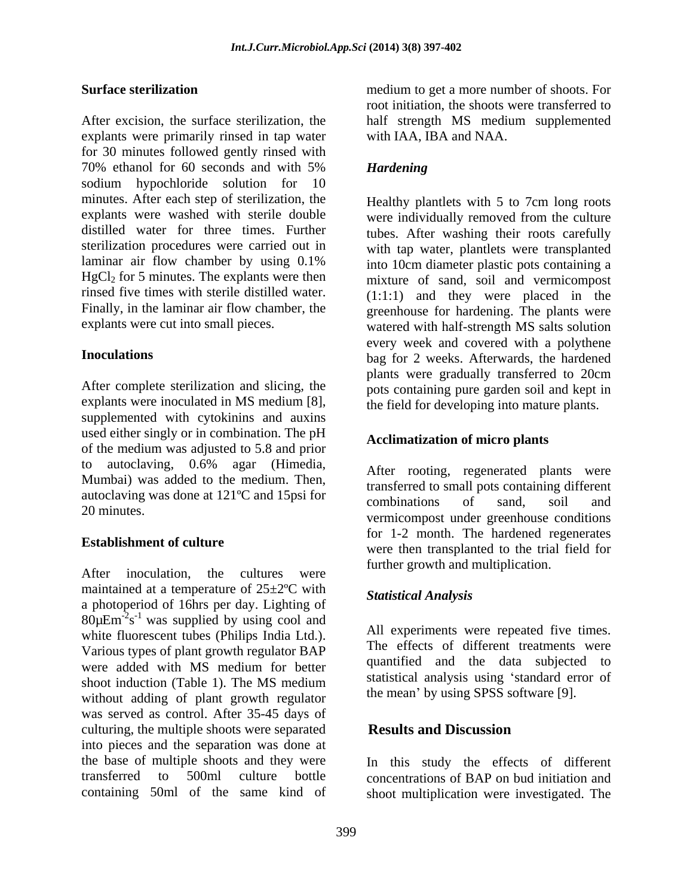After excision, the surface sterilization, the half strength MS medium supplemented explants were primarily rinsed in tap water for 30 minutes followed gently rinsed with 70% ethanol for 60 seconds and with 5% Hardening sodium hypochloride solution for 10 minutes. After each step of sterilization, the laminar air flow chamber by using 0.1%

After complete sterilization and slicing, the explants were inoculated in MS medium [8], the field for developing into mature plants.<br>supplemented with cytokinins and auxins used either singly or in combination. The pH of the medium was adjusted to 5.8 and prior to autoclaving, 0.6% agar (Himedia,  $\Delta_{\text{fter}}$  rooting regenerated plants were Mumbai) was added to the medium. Then, autoclaving was done at 121<sup>o</sup>C and 15psi for<br>combinations of sand soil and 20 minutes.

After inoculation, the cultures were haddle growth and manippleation. maintained at a temperature of  $25\pm2$ <sup>o</sup>C with<br>Statistical Analysis a photoperiod of 16hrs per day. Lighting of  $80\mu\text{Em}^2\text{s}^{-1}$  was supplied by using cool and white fluorescent tubes (Philips India Ltd.). Various types of plant growth regulator BAP were added with MS medium for better quantitied and the data subjected to shoot induction (Table 1). The MS medium without adding of plant growth regulator was served as control. After 35-45 days of culturing, the multiple shoots were separated **Results and Discussion** into pieces and the separation was done at the base of multiple shoots and they were In this study the effects of different transferred to 500ml culture bottle concentrations of BAP on bud initiation and

**Surface sterilization**  medium to get a more number of shoots. For root initiation, the shoots were transferred to with IAA, IBA and NAA.

# *Hardening*

explants were washed with sterile double were individually removed from the culture distilled water for three times. Further tubes. After washing their roots carefully sterilization procedures were carried out in with tap water, plantlets were transplanted HgCl<sub>2</sub> for 5 minutes. The explants were then mixture of sand, soil and vermicompost rinsed five times with sterile distilled water.  $(1:1:1)$  and they were placed in the Finally, in the laminar air flow chamber, the greenhouse for hardening. The plants were explants were cut into small pieces. watered with half-strength MS salts solution **Inoculations** bag for 2 weeks. Afterwards, the hardened Healthy plantlets with 5 to 7cm long roots into 10cm diameter plastic pots containing a every week and covered with a polythene plants were gradually transferred to 20cm pots containing pure garden soil and kept in the field for developing into mature plants.

### **Acclimatization of micro plants**

**Establishment of culture**<br>
were then transplanted to the trial field for After rooting, regenerated plants were transferred to small pots containing different combinations of sand, soil and vermicompost under greenhouse conditions for 1-2 month. The hardened regenerates further growth and multiplication.

### *Statistical Analysis*

All experiments were repeated five times. The effects of different treatments were quantified and the data subjected to statistical analysis using 'standard error of the mean' by using SPSS software [9].

# **Results and Discussion**

containing 50ml of the same kind of shoot multiplication were investigated. The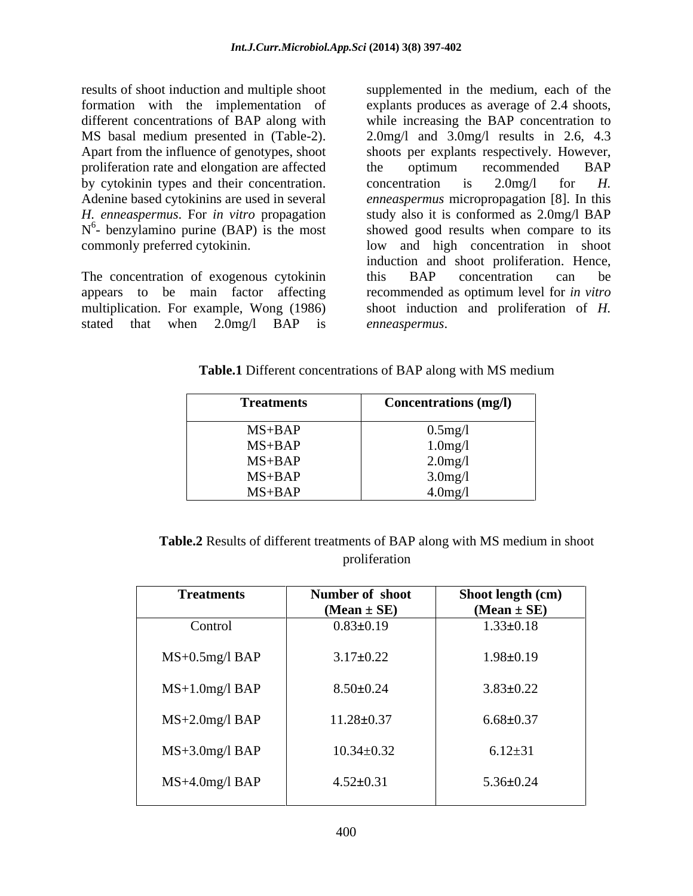proliferation rate and elongation are affected the optimum recommended BAP by cytokinin types and their concentration. concentration is 2.0 mg/l for H.  $N^6$ - benzylamino purine (BAP) is the most

multiplication. For example, Wong (1986) stated that when 2.0mg/l BAP is

results of shoot induction and multiple shoot supplemented in the medium, each of the formation with the implementation of explants produces as average of 2.4 shoots, different concentrations of BAP along with while increasing the BAP concentration to MS basal medium presented in (Table-2). 2.0mg/l and 3.0mg/l results in 2.6, 4.3 Apart from the influence of genotypes, shoot shoots per explants respectively. However, Adenine based cytokinins are used in several *enneaspermus* micropropagation [8]. In this *H. enneaspermus*. For *in vitro* propagation study also it is conformed as 2.0mg/l BAP N<sup>o</sup>- benzylamino purine (BAP) is the most showed good results when compare to its commonly preferred cytokinin.<br>The concentration of exogenous cytokinin and shoot proliferation. Hence,<br>The concentration of exogenous cytokinin this BAP concentration can be appears to be main factor affecting recommended as optimum level for *in vitro* the optimum recommended BAP concentration is 2.0mg/l for *H.*  low and high concentration in shoot induction and shoot proliferation. Hence, this BAP concentration can be shoot induction and proliferation of *H. enneaspermus*.

**Table.1** Different concentrations of BAP along with MS medium

| <b>Treatments</b> | <b>Concentrations (mg/l)</b> |
|-------------------|------------------------------|
| $MS+BAP$          | $0.5$ mg/l                   |
| $MS+BAP$          | $1.0$ mg/l                   |
| $MS+BAP$          | $2.0$ mg/l                   |
| $MS+BAP$          | $3.0$ mg/l                   |
| $MS+BAP$          | $4.0$ mg/l                   |

**Table.2** Results of different treatments of BAP along with MS medium in shoot proliferation **provides** 

| <b>Treatments</b>   | Number of shoot<br>$(Mean \pm SE)$ | Shoot length (cm)<br>$(Mean \pm SE)$ |
|---------------------|------------------------------------|--------------------------------------|
| Control             | $0.83 \pm 0.19$                    | $1.33 \pm 0.18$                      |
| MS+0.5mg/l BAP      | $3.17 \pm 0.22$                    | $1.98 \pm 0.19$                      |
| $MS+1.0$ mg/l $BAP$ | $8.50 \pm 0.24$                    | $3.83 \pm 0.22$                      |
| $MS+2.0mg/l$ BAP    | $11.28 \pm 0.37$                   | $6.68 \pm 0.37$                      |
| $MS+3.0mg/1$ BAP    | $10.34 \pm 0.32$                   | $6.12 \pm 31$                        |
| MS+4.0mg/l BAP      | $4.52 \pm 0.31$                    | $5.36 \pm 0.24$                      |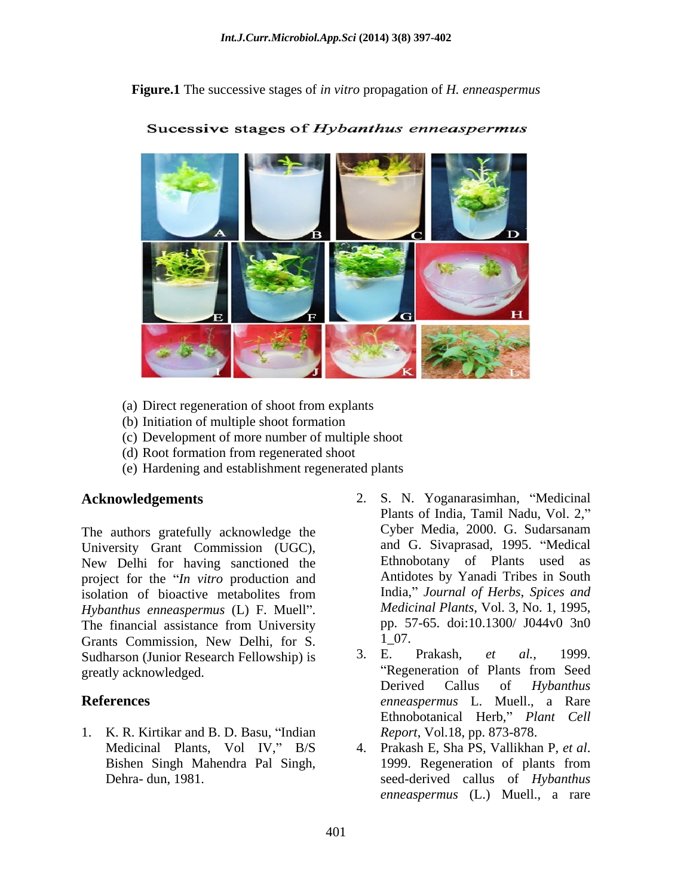**Figure.1** The successive stages of *in vitro* propagation of *H. enneaspermus*



Sucessive stages of Hybanthus enneaspermus

- (a) Direct regeneration of shoot from explants
- (b) Initiation of multiple shoot formation
- (c) Development of more number of multiple shoot
- (d) Root formation from regenerated shoot
- (e) Hardening and establishment regenerated plants

University Grant Commission (UGC), New Delhi for having sanctioned the project for the *In vitro* production and isolation of bioactive metabolites from isolation of bioactive metabolites from **India**," Journal of Herbs, Spices and *Hybanthus enneaspermus* (L) F. Muell". The financial assistance from University  $p \cdot 57$ <br>Grants Commission New Delhi for S  $1\ 07$ . Grants Commission, New Delhi, for S.  $1\_07$ .<br>Sudharson (Junior Research Fellowship) is  $3.$  E. Prakash, *et al.*, 1999. Sudharson (Junior Research Fellowship) is 3. E. Prakash, et al., 1999.<br>
greatly acknowledged. "Regeneration of Plants from Seed" greatly acknowledged.

- 1. K. R. Kirtikar and B. D. Basu, "Indian
- **Acknowledgements** 2. S. N. Yoganarasimhan, "Medicinal The authors gratefully acknowledge the Cyber Media, 2000. G. Sudarsanam Plants of India, Tamil Nadu, Vol. 2, Cyber Media, 2000. G. Sudarsanam and G. Sivaprasad, 1995. "Medical Ethnobotany of Plants used as Antidotes by Yanadi Tribes in South India, *Journal of Herbs*, *Spices and Medicinal Plants*, Vol. 3, No. 1, 1995, pp. 57-65. doi:10.1300/ J044v0 3n0 1\_07.
- **References** *enneaspermus* L. Muell., a Rare 3. E. Prakash, *et al.*, 1999. Regeneration of Plants from Seed Derived Callus of *Hybanthus*  Ethnobotanical Herb," Plant Cell *Report*, Vol.18, pp. 873-878.
	- Medicinal Plants, Vol IV," B/S 4. Prakash E, Sha PS, Vallikhan P, et al. Bishen Singh Mahendra Pal Singh, Dehra- dun, 1981. seed-derived callus of *Hybanthus*  4. Prakash E, Sha PS, Vallikhan P, *et al*. 1999. Regeneration of plants from *enneaspermus* (L.) Muell., a rare